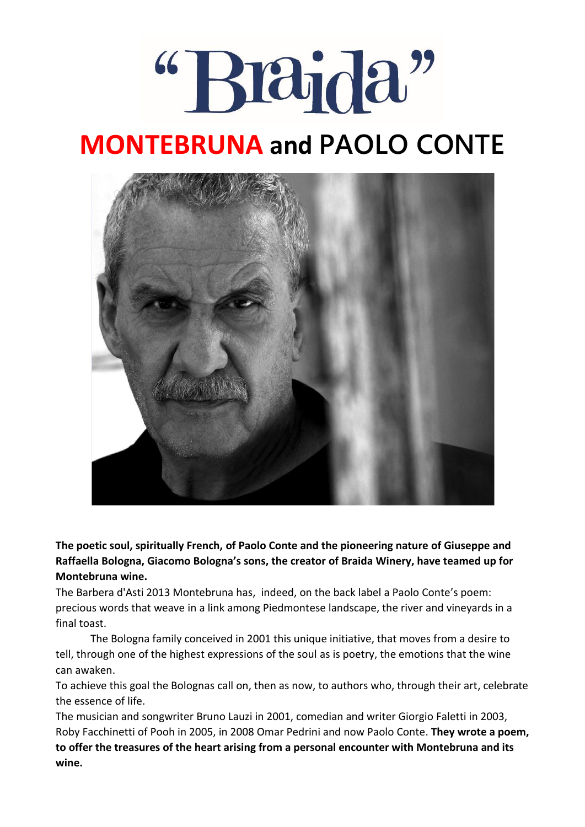# "Braida"

## **MONTEBRUNA and PAOLO CONTE**



**The poetic soul, spiritually French, of Paolo Conte and the pioneering nature of Giuseppe and Raffaella Bologna, Giacomo Bologna's sons, the creator of Braida Winery, have teamed up for Montebruna wine.** 

The Barbera d'Asti 2013 Montebruna has, indeed, on the back label a Paolo Conte's poem: precious words that weave in a link among Piedmontese landscape, the river and vineyards in a final toast.

 The Bologna family conceived in 2001 this unique initiative, that moves from a desire to tell, through one of the highest expressions of the soul as is poetry, the emotions that the wine can awaken.

To achieve this goal the Bolognas call on, then as now, to authors who, through their art, celebrate the essence of life.

The musician and songwriter Bruno Lauzi in 2001, comedian and writer Giorgio Faletti in 2003, Roby Facchinetti of Pooh in 2005, in 2008 Omar Pedrini and now Paolo Conte. **They wrote a poem, to offer the treasures of the heart arising from a personal encounter with Montebruna and its wine.**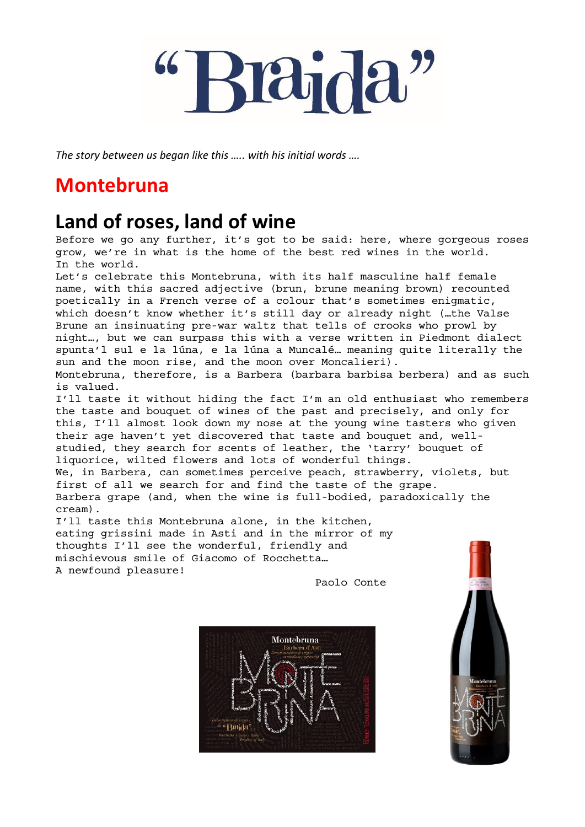*The story between us began like this ….. with his initial words ….*

## **Montebruna**

## **Land of roses, land of wine**

Before we go any further, it's got to be said: here, where gorgeous roses grow, we're in what is the home of the best red wines in the world. In the world.

Let's celebrate this Montebruna, with its half masculine half female name, with this sacred adjective (brun, brune meaning brown) recounted poetically in a French verse of a colour that's sometimes enigmatic, which doesn't know whether it's still day or already night (…the Valse Brune an insinuating pre-war waltz that tells of crooks who prowl by night…, but we can surpass this with a verse written in Piedmont dialect spunta'l sul e la lúna, e la lúna a Muncalé… meaning quite literally the sun and the moon rise, and the moon over Moncalieri). Montebruna, therefore, is a Barbera (barbara barbisa berbera) and as such is valued.

I'll taste it without hiding the fact I'm an old enthusiast who remembers the taste and bouquet of wines of the past and precisely, and only for this, I'll almost look down my nose at the young wine tasters who given their age haven't yet discovered that taste and bouquet and, wellstudied, they search for scents of leather, the 'tarry' bouquet of liquorice, wilted flowers and lots of wonderful things. We, in Barbera, can sometimes perceive peach, strawberry, violets, but first of all we search for and find the taste of the grape.

Barbera grape (and, when the wine is full-bodied, paradoxically the cream).

I'll taste this Montebruna alone, in the kitchen, eating grissini made in Asti and in the mirror of my thoughts I'll see the wonderful, friendly and mischievous smile of Giacomo of Rocchetta… A newfound pleasure!

Paolo Conte



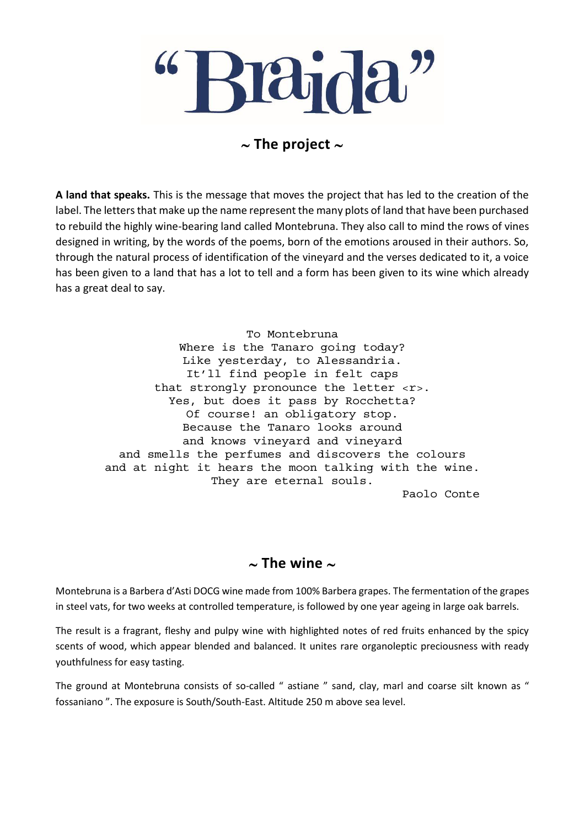### $\sim$  The project  $\sim$

**A land that speaks.** This is the message that moves the project that has led to the creation of the label. The letters that make up the name represent the many plots of land that have been purchased to rebuild the highly wine-bearing land called Montebruna. They also call to mind the rows of vines designed in writing, by the words of the poems, born of the emotions aroused in their authors. So, through the natural process of identification of the vineyard and the verses dedicated to it, a voice has been given to a land that has a lot to tell and a form has been given to its wine which already has a great deal to say.

> To Montebruna Where is the Tanaro going today? Like yesterday, to Alessandria. It'll find people in felt caps that strongly pronounce the letter <r>. Yes, but does it pass by Rocchetta? Of course! an obligatory stop. Because the Tanaro looks around and knows vineyard and vineyard and smells the perfumes and discovers the colours and at night it hears the moon talking with the wine. They are eternal souls.

Paolo Conte

#### $\sim$  The wine  $\sim$

Montebruna is a Barbera d'Asti DOCG wine made from 100% Barbera grapes. The fermentation of the grapes in steel vats, for two weeks at controlled temperature, is followed by one year ageing in large oak barrels.

The result is a fragrant, fleshy and pulpy wine with highlighted notes of red fruits enhanced by the spicy scents of wood, which appear blended and balanced. It unites rare organoleptic preciousness with ready youthfulness for easy tasting.

The ground at Montebruna consists of so-called " astiane " sand, clay, marl and coarse silt known as " fossaniano ". The exposure is South/South-East. Altitude 250 m above sea level.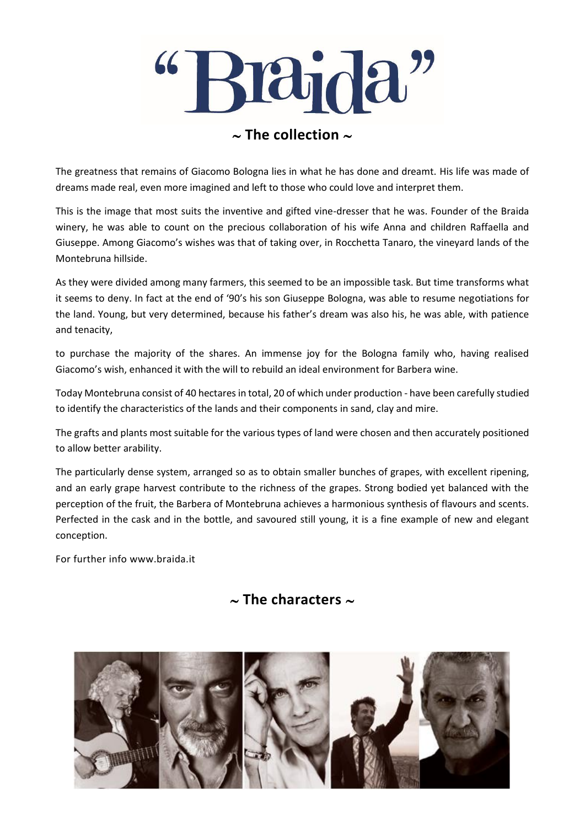

### $\sim$  The collection  $\sim$

The greatness that remains of Giacomo Bologna lies in what he has done and dreamt. His life was made of dreams made real, even more imagined and left to those who could love and interpret them.

This is the image that most suits the inventive and gifted vine-dresser that he was. Founder of the Braida winery, he was able to count on the precious collaboration of his wife Anna and children Raffaella and Giuseppe. Among Giacomo's wishes was that of taking over, in Rocchetta Tanaro, the vineyard lands of the Montebruna hillside.

As they were divided among many farmers, this seemed to be an impossible task. But time transforms what it seems to deny. In fact at the end of '90's his son Giuseppe Bologna, was able to resume negotiations for the land. Young, but very determined, because his father's dream was also his, he was able, with patience and tenacity,

to purchase the majority of the shares. An immense joy for the Bologna family who, having realised Giacomo's wish, enhanced it with the will to rebuild an ideal environment for Barbera wine.

Today Montebruna consist of 40 hectares in total, 20 of which under production - have been carefully studied to identify the characteristics of the lands and their components in sand, clay and mire.

The grafts and plants most suitable for the various types of land were chosen and then accurately positioned to allow better arability.

The particularly dense system, arranged so as to obtain smaller bunches of grapes, with excellent ripening, and an early grape harvest contribute to the richness of the grapes. Strong bodied yet balanced with the perception of the fruit, the Barbera of Montebruna achieves a harmonious synthesis of flavours and scents. Perfected in the cask and in the bottle, and savoured still young, it is a fine example of new and elegant conception.

For further info www.braida.it

### $\sim$  The characters  $\sim$

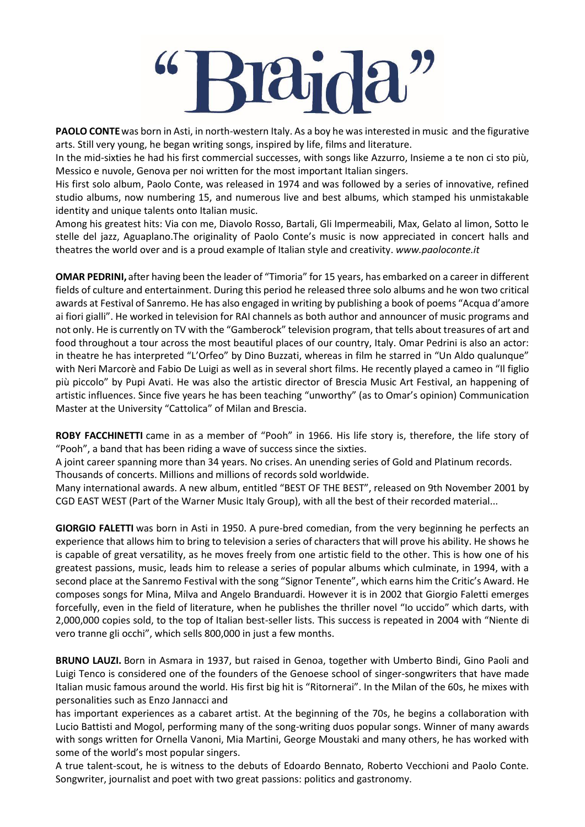**PAOLO CONTE**was born in Asti, in north-western Italy. As a boy he was interested in music and the figurative arts. Still very young, he began writing songs, inspired by life, films and literature.

In the mid-sixties he had his first commercial successes, with songs like Azzurro, Insieme a te non ci sto più, Messico e nuvole, Genova per noi written for the most important Italian singers.

His first solo album, Paolo Conte, was released in 1974 and was followed by a series of innovative, refined studio albums, now numbering 15, and numerous live and best albums, which stamped his unmistakable identity and unique talents onto Italian music.

Among his greatest hits: Via con me, Diavolo Rosso, Bartali, Gli Impermeabili, Max, Gelato al limon, Sotto le stelle del jazz, Aguaplano.The originality of Paolo Conte's music is now appreciated in concert halls and theatres the world over and is a proud example of Italian style and creativity. *www.paoloconte.it*

**OMAR PEDRINI,** after having been the leader of "Timoria" for 15 years, has embarked on a career in different fields of culture and entertainment. During this period he released three solo albums and he won two critical awards at Festival of Sanremo. He has also engaged in writing by publishing a book of poems "Acqua d'amore ai fiori gialli". He worked in television for RAI channels as both author and announcer of music programs and not only. He is currently on TV with the "Gamberock" television program, that tells about treasures of art and food throughout a tour across the most beautiful places of our country, Italy. Omar Pedrini is also an actor: in theatre he has interpreted "L'Orfeo" by Dino Buzzati, whereas in film he starred in "Un Aldo qualunque" with Neri Marcorè and Fabio De Luigi as well as in several short films. He recently played a cameo in "Il figlio più piccolo" by Pupi Avati. He was also the artistic director of Brescia Music Art Festival, an happening of artistic influences. Since five years he has been teaching "unworthy" (as to Omar's opinion) Communication Master at the University "Cattolica" of Milan and Brescia.

**ROBY FACCHINETTI** came in as a member of "Pooh" in 1966. His life story is, therefore, the life story of "Pooh", a band that has been riding a wave of success since the sixties.

A joint career spanning more than 34 years. No crises. An unending series of Gold and Platinum records. Thousands of concerts. Millions and millions of records sold worldwide.

Many international awards. A new album, entitled "BEST OF THE BEST", released on 9th November 2001 by CGD EAST WEST (Part of the Warner Music Italy Group), with all the best of their recorded material...

**GIORGIO FALETTI** was born in Asti in 1950. A pure-bred comedian, from the very beginning he perfects an experience that allows him to bring to television a series of characters that will prove his ability. He shows he is capable of great versatility, as he moves freely from one artistic field to the other. This is how one of his greatest passions, music, leads him to release a series of popular albums which culminate, in 1994, with a second place at the Sanremo Festival with the song "Signor Tenente", which earns him the Critic's Award. He composes songs for Mina, Milva and Angelo Branduardi. However it is in 2002 that Giorgio Faletti emerges forcefully, even in the field of literature, when he publishes the thriller novel "Io uccido" which darts, with 2,000,000 copies sold, to the top of Italian best-seller lists. This success is repeated in 2004 with "Niente di vero tranne gli occhi", which sells 800,000 in just a few months.

**BRUNO LAUZI.** Born in Asmara in 1937, but raised in Genoa, together with Umberto Bindi, Gino Paoli and Luigi Tenco is considered one of the founders of the Genoese school of singer-songwriters that have made Italian music famous around the world. His first big hit is "Ritornerai". In the Milan of the 60s, he mixes with personalities such as Enzo Jannacci and

has important experiences as a cabaret artist. At the beginning of the 70s, he begins a collaboration with Lucio Battisti and Mogol, performing many of the song-writing duos popular songs. Winner of many awards with songs written for Ornella Vanoni, Mia Martini, George Moustaki and many others, he has worked with some of the world's most popular singers.

A true talent-scout, he is witness to the debuts of Edoardo Bennato, Roberto Vecchioni and Paolo Conte. Songwriter, journalist and poet with two great passions: politics and gastronomy.